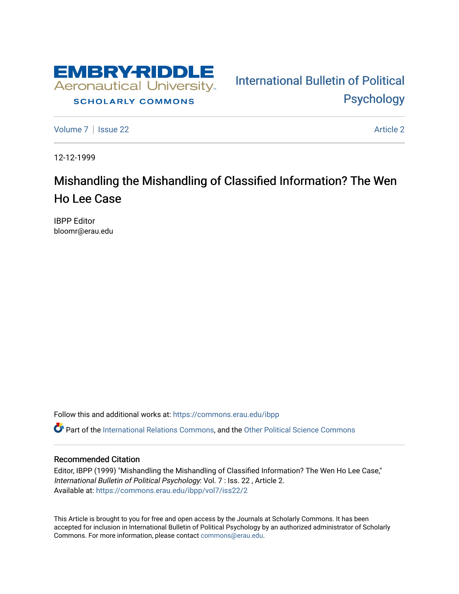

## **SCHOLARLY COMMONS**

[Volume 7](https://commons.erau.edu/ibpp/vol7) | [Issue 22](https://commons.erau.edu/ibpp/vol7/iss22) Article 2

[International Bulletin of Political](https://commons.erau.edu/ibpp)  [Psychology](https://commons.erau.edu/ibpp) 

12-12-1999

## Mishandling the Mishandling of Classified Information? The Wen Ho Lee Case

IBPP Editor bloomr@erau.edu

Follow this and additional works at: [https://commons.erau.edu/ibpp](https://commons.erau.edu/ibpp?utm_source=commons.erau.edu%2Fibpp%2Fvol7%2Fiss22%2F2&utm_medium=PDF&utm_campaign=PDFCoverPages) 

Part of the [International Relations Commons,](http://network.bepress.com/hgg/discipline/389?utm_source=commons.erau.edu%2Fibpp%2Fvol7%2Fiss22%2F2&utm_medium=PDF&utm_campaign=PDFCoverPages) and the [Other Political Science Commons](http://network.bepress.com/hgg/discipline/392?utm_source=commons.erau.edu%2Fibpp%2Fvol7%2Fiss22%2F2&utm_medium=PDF&utm_campaign=PDFCoverPages)

## Recommended Citation

Editor, IBPP (1999) "Mishandling the Mishandling of Classified Information? The Wen Ho Lee Case," International Bulletin of Political Psychology: Vol. 7 : Iss. 22 , Article 2. Available at: [https://commons.erau.edu/ibpp/vol7/iss22/2](https://commons.erau.edu/ibpp/vol7/iss22/2?utm_source=commons.erau.edu%2Fibpp%2Fvol7%2Fiss22%2F2&utm_medium=PDF&utm_campaign=PDFCoverPages)

This Article is brought to you for free and open access by the Journals at Scholarly Commons. It has been accepted for inclusion in International Bulletin of Political Psychology by an authorized administrator of Scholarly Commons. For more information, please contact [commons@erau.edu.](mailto:commons@erau.edu)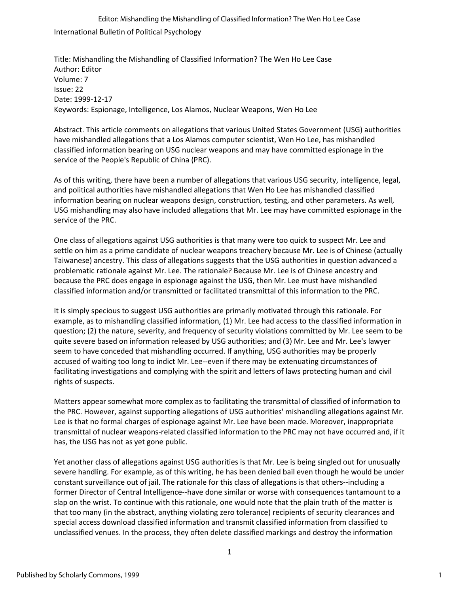International Bulletin of Political Psychology Editor: Mishandling the Mishandling of Classified Information? The Wen Ho Lee Case

Title: Mishandling the Mishandling of Classified Information? The Wen Ho Lee Case Author: Editor Volume: 7 Issue: 22 Date: 1999-12-17 Keywords: Espionage, Intelligence, Los Alamos, Nuclear Weapons, Wen Ho Lee

Abstract. This article comments on allegations that various United States Government (USG) authorities have mishandled allegations that a Los Alamos computer scientist, Wen Ho Lee, has mishandled classified information bearing on USG nuclear weapons and may have committed espionage in the service of the People's Republic of China (PRC).

As of this writing, there have been a number of allegations that various USG security, intelligence, legal, and political authorities have mishandled allegations that Wen Ho Lee has mishandled classified information bearing on nuclear weapons design, construction, testing, and other parameters. As well, USG mishandling may also have included allegations that Mr. Lee may have committed espionage in the service of the PRC.

One class of allegations against USG authorities is that many were too quick to suspect Mr. Lee and settle on him as a prime candidate of nuclear weapons treachery because Mr. Lee is of Chinese (actually Taiwanese) ancestry. This class of allegations suggests that the USG authorities in question advanced a problematic rationale against Mr. Lee. The rationale? Because Mr. Lee is of Chinese ancestry and because the PRC does engage in espionage against the USG, then Mr. Lee must have mishandled classified information and/or transmitted or facilitated transmittal of this information to the PRC.

It is simply specious to suggest USG authorities are primarily motivated through this rationale. For example, as to mishandling classified information, (1) Mr. Lee had access to the classified information in question; (2) the nature, severity, and frequency of security violations committed by Mr. Lee seem to be quite severe based on information released by USG authorities; and (3) Mr. Lee and Mr. Lee's lawyer seem to have conceded that mishandling occurred. If anything, USG authorities may be properly accused of waiting too long to indict Mr. Lee--even if there may be extenuating circumstances of facilitating investigations and complying with the spirit and letters of laws protecting human and civil rights of suspects.

Matters appear somewhat more complex as to facilitating the transmittal of classified of information to the PRC. However, against supporting allegations of USG authorities' mishandling allegations against Mr. Lee is that no formal charges of espionage against Mr. Lee have been made. Moreover, inappropriate transmittal of nuclear weapons-related classified information to the PRC may not have occurred and, if it has, the USG has not as yet gone public.

Yet another class of allegations against USG authorities is that Mr. Lee is being singled out for unusually severe handling. For example, as of this writing, he has been denied bail even though he would be under constant surveillance out of jail. The rationale for this class of allegations is that others--including a former Director of Central Intelligence--have done similar or worse with consequences tantamount to a slap on the wrist. To continue with this rationale, one would note that the plain truth of the matter is that too many (in the abstract, anything violating zero tolerance) recipients of security clearances and special access download classified information and transmit classified information from classified to unclassified venues. In the process, they often delete classified markings and destroy the information

1